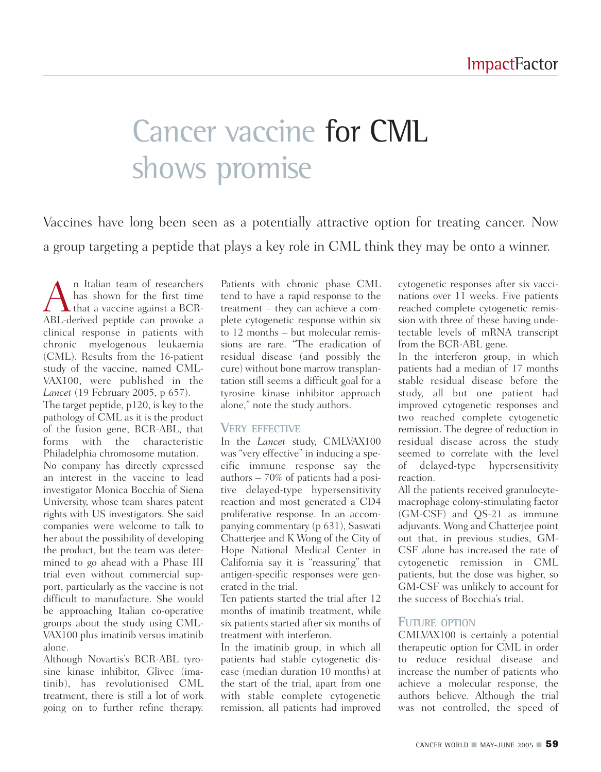# Cancer vaccine for CML shows promise

Vaccines have long been seen as a potentially attractive option for treating cancer. Now a group targeting a peptide that plays a key role in CML think they may be onto a winner.

A n Italian team of researchers<br>has shown for the first time<br>ABL-derived pentide can provoke a has shown for the first time that a vaccine against a BCR-ABL-derived peptide can provoke a clinical response in patients with chronic myelogenous leukaemia (CML). Results from the 16-patient study of the vaccine, named CML-VAX100, were published in the *Lancet* (19 February 2005, p 657). The target peptide, p120, is key to the pathology of CML as it is the product of the fusion gene, BCR-ABL, that forms with the characteristic Philadelphia chromosome mutation. No company has directly expressed an interest in the vaccine to lead investigator Monica Bocchia of Siena University, whose team shares patent rights with US investigators. She said companies were welcome to talk to her about the possibility of developing the product, but the team was determined to go ahead with a Phase III trial even without commercial support, particularly as the vaccine is not difficult to manufacture. She would be approaching Italian co-operative groups about the study using CML-VAX100 plus imatinib versus imatinib alone.

Although Novartis's BCR-ABL tyrosine kinase inhibitor, Glivec (imatinib), has revolutionised CML treatment, there is still a lot of work going on to further refine therapy.

Patients with chronic phase CML tend to have a rapid response to the treatment – they can achieve a complete cytogenetic response within six to 12 months – but molecular remissions are rare. "The eradication of residual disease (and possibly the cure) without bone marrow transplantation still seems a difficult goal for a tyrosine kinase inhibitor approach alone," note the study authors.

#### **VERY EFFECTIVE**

In the *Lancet* study, CMLVAX100 was "very effective" in inducing a specific immune response say the authors – 70% of patients had a positive delayed-type hypersensitivity reaction and most generated a CD4 proliferative response. In an accompanying commentary (p 631), Saswati Chatterjee and K Wong of the City of Hope National Medical Center in California say it is "reassuring" that antigen-specific responses were generated in the trial.

Ten patients started the trial after 12 months of imatinib treatment, while six patients started after six months of treatment with interferon.

In the imatinib group, in which all patients had stable cytogenetic disease (median duration 10 months) at the start of the trial, apart from one with stable complete cytogenetic remission, all patients had improved

cytogenetic responses after six vaccinations over 11 weeks. Five patients reached complete cytogenetic remission with three of these having undetectable levels of mRNA transcript from the BCR-ABL gene.

In the interferon group, in which patients had a median of 17 months stable residual disease before the study, all but one patient had improved cytogenetic responses and two reached complete cytogenetic remission. The degree of reduction in residual disease across the study seemed to correlate with the level of delayed-type hypersensitivity reaction.

All the patients received granulocytemacrophage colony-stimulating factor (GM-CSF) and QS-21 as immune adjuvants. Wong and Chatterjee point out that, in previous studies, GM-CSF alone has increased the rate of cytogenetic remission in CML patients, but the dose was higher, so GM-CSF was unlikely to account for the success of Bocchia's trial.

#### **FUTURE OPTION**

CMLVAX100 is certainly a potential therapeutic option for CML in order to reduce residual disease and increase the number of patients who achieve a molecular response, the authors believe. Although the trial was not controlled, the speed of